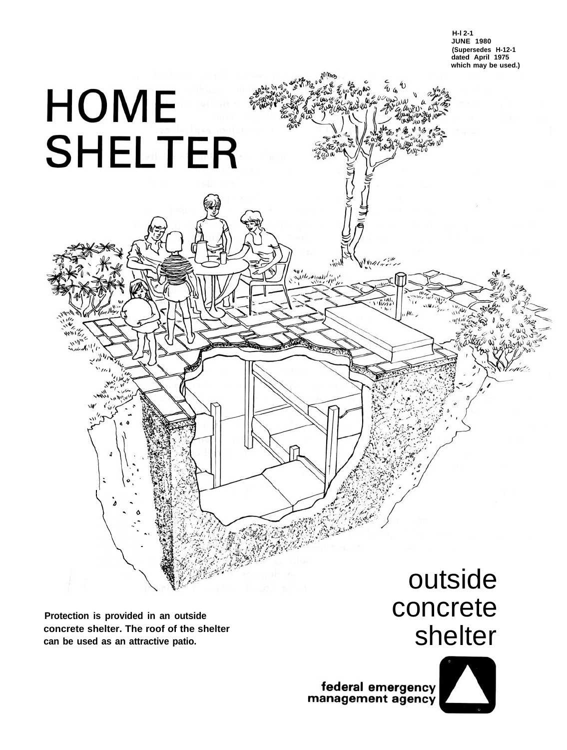

**Protection is provided in an outside concrete shelter. The roof of the shelter can be used as an attractive patio.**

.  $\delta$  -- 0 \_-

.

 $\frac{1}{2}$ 

**HOME** 

**SHELTER** 

# outside concrete shelter

federal emergency<br>management agency

valities

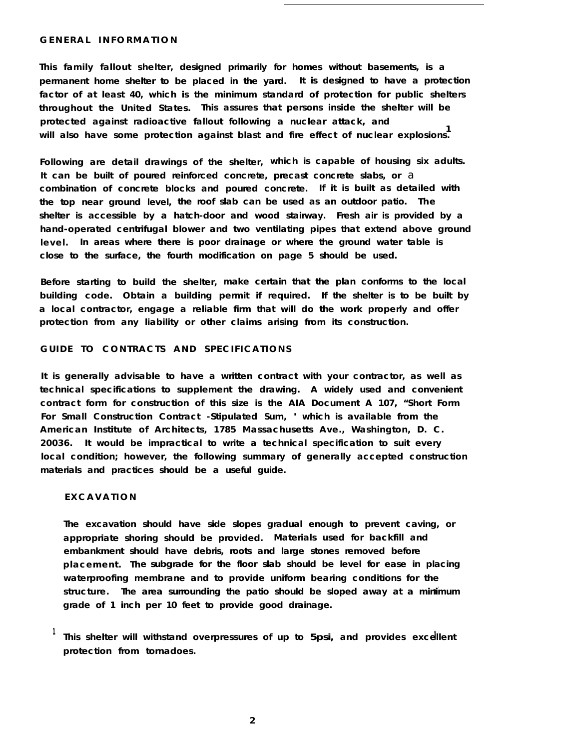#### **GENERAL INFORMATION**

**This family fallout shelter, designed primarily for homes without basements, is a permanent home shelter to be placed in the yard. It is designed to have a protection factor of at least 40, which is the minimum standard of protection for public shelters throughout the United States. This assures that persons inside the shelter will be protected against radioactive fallout following a nuclear attack, and <sup>1</sup> will also have some protection against blast and fire effect of nuclear explosions.**

**Following are detail drawings of the shelter, which is capable of housing six adults. It can be built of poured reinforced concrete, precast concrete slabs, or** a **combination of concrete blocks and poured concrete. If it is built as detailed with the top near ground level, the roof slab can be used as an outdoor patio. The shelter is accessible by a hatch-door and wood stairway. Fresh air is provided by a hand-operated centrifugal blower and two ventilating pipes that extend above ground level. In areas where there is poor drainage or where the ground water table is close to the surface, the fourth modification on page 5 should be used.**

**Before starting to build the shelter, make certain that the plan conforms to the local building code. Obtain a building permit if required. If the shelter is to be built by a local contractor, engage a reliable firm that will do the work properly and offer protection from any liability or other claims arising from its construction.**

### **GUIDE TO CONTRACTS AND SPECIFICATIONS**

**It is generally advisable to have a written contract with your contractor, as well as technical specifications to supplement the drawing. A widely used and convenient contract form for construction of this size is the AIA Document A 107, "Short Form For Small Construction Contract -Stipulated Sum, " which is available from the American Institute of Architects, 1785 Massachusetts Ave., Washington, D. C. 20036. It would be impractical to write a technical specification to suit every local condition; however, the following summary of generally accepted construction materials and practices should be a useful guide.**

#### **EXCAVATION**

**The excavation should have side slopes gradual enough to prevent caving, or appropriate shoring should be provided. Materials used for backfill and embankment should have debris, roots and large stones removed before placement. The subgrade for the floor slab should be level for ease in placing waterproofing membrane and to provide uniform bearing conditions for the structure. The area surrounding the patio should be sloped away at a minimum grade of 1 inch per 10 feet to provide good drainage.**

**<sup>1</sup> This shelter will withstand overpressures of up to 5psi, and provides excellent protection from tornadoes.**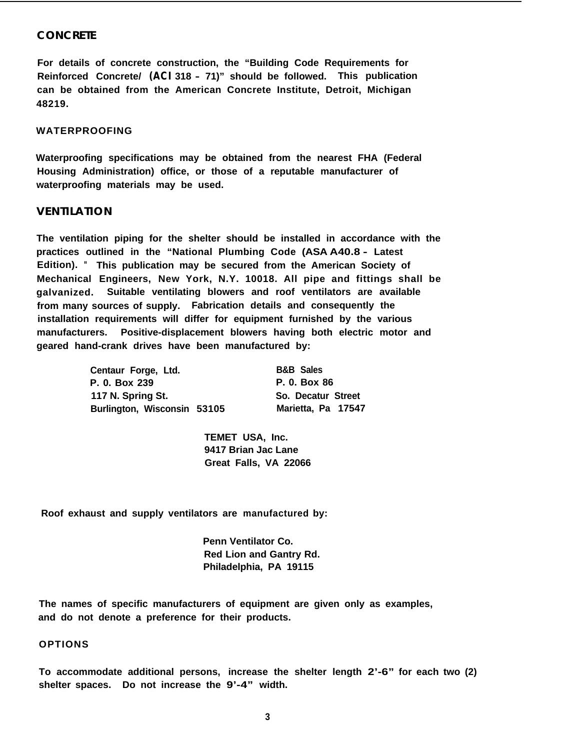#### **CONCRETE**

**For details of concrete construction, the "Building Code Requirements for Reinforced Concrete/ (ACI 318 - 71)" should be followed. This publication can be obtained from the American Concrete Institute, Detroit, Michigan 48219.**

#### **WATERPROOFING**

**Waterproofing specifications may be obtained from the nearest FHA (Federal Housing Administration) office, or those of a reputable manufacturer of waterproofing materials may be used.**

#### **VENTILATION**

**The ventilation piping for the shelter should be installed in accordance with the practices outlined in the "National Plumbing Code (ASA A40.8 - Latest Edition). " This publication may be secured from the American Society of Mechanical Engineers, New York, N.Y. 10018. All pipe and fittings shall be galvanized. Suitable ventilating blowers and roof ventilators are available from many sources of supply. Fabrication details and consequently the installation requirements will differ for equipment furnished by the various manufacturers. Positive-displacement blowers having both electric motor and geared hand-crank drives have been manufactured by:**

| Centaur Forge, Ltd.         | <b>B&amp;B Sales</b> |
|-----------------------------|----------------------|
| P. 0. Box 239               | P. 0. Box 86         |
| 117 N. Spring St.           | So. Decatur Street   |
| Burlington, Wisconsin 53105 | Marietta, Pa 17547   |

**TEMET USA, Inc. 9417 Brian Jac Lane Great Falls, VA 22066**

**Roof exhaust and supply ventilators are manufactured by:**

**Penn Ventilator Co. Red Lion and Gantry Rd. Philadelphia, PA 19115**

**The names of specific manufacturers of equipment are given only as examples, and do not denote a preference for their products.**

#### **OPTIONS**

**To accommodate additional persons, increase the shelter length 2'-6" for each two (2) shelter spaces. Do not increase the 9'-4" width.**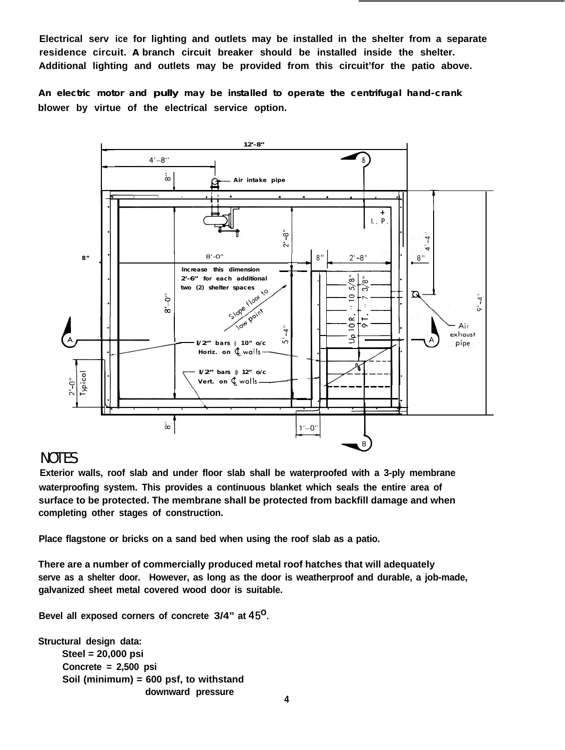**Electrical serv ice for lighting and outlets may be installed in the shelter from a separate residence circuit. A branch circuit breaker should be installed inside the shelter. Additional lighting and outlets may be provided from this circuit'for the patio above.**

**An electric motor and pully may be installed to operate the centrifugal hand-crank blower by virtue of the electrical service option.**



## NOTES

**Exterior walls, roof slab and under floor slab shall be waterproofed with a 3-ply membrane waterproofing system. This provides a continuous blanket which seals the entire area of surface to be protected. The membrane shall be protected from backfill damage and when completing other stages of construction.**

**Place flagstone or bricks on a sand bed when using the roof slab as a patio.**

**There are a number of commercially produced metal roof hatches that will adequately serve as a shelter door. However, as long as the door is weatherproof and durable, a job-made, galvanized sheet metal covered wood door is suitable.**

**Bevel all exposed corners of concrete 3/4" at 45'.**

**Structural design data: Steel = 20,000 psi Concrete = 2,500 psi Soil (minimum) = 600 psf, to withstand downward pressure 4**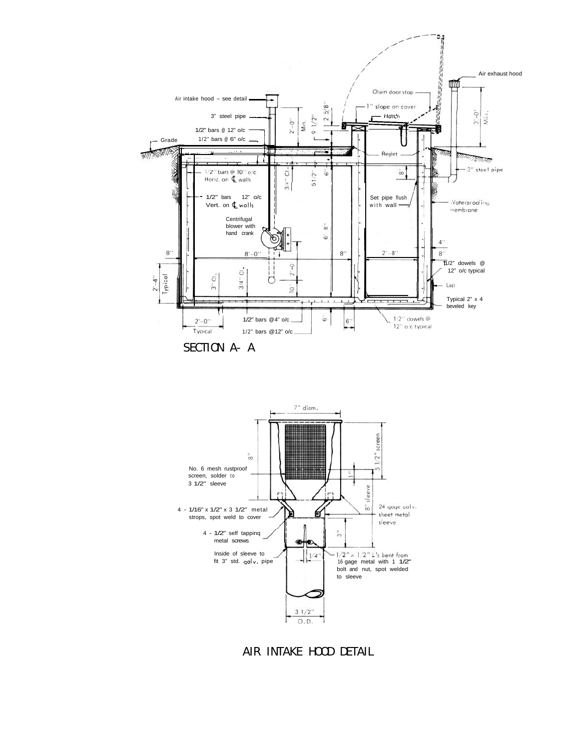

SECTION A- A



AIR INTAKE HOOD DETAIL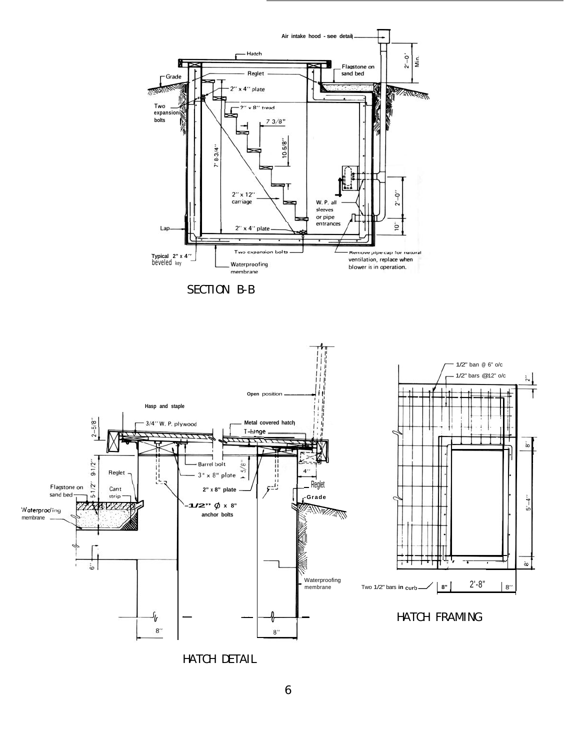

HATCH DETAIL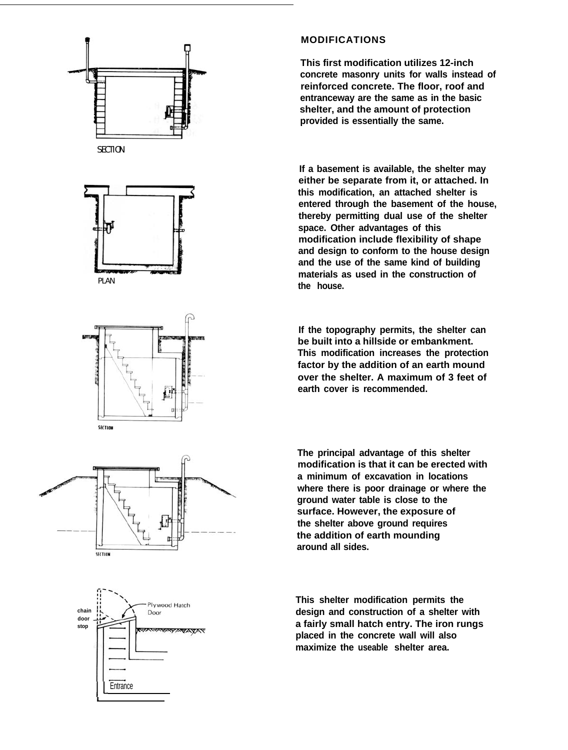

### **MODIFICATIONS**

**This first modification utilizes 12-inch concrete masonry units for walls instead of reinforced concrete. The floor, roof and entranceway are the same as in the basic shelter, and the amount of protection provided is essentially the same.**

**If a basement is available, the shelter may either be separate from it, or attached. In this modification, an attached shelter is entered through the basement of the house, thereby permitting dual use of the shelter space. Other advantages of this modification include flexibility of shape and design to conform to the house design and the use of the same kind of building materials as used in the construction of the house.**

**If the topography permits, the shelter can be built into a hillside or embankment. This modification increases the protection factor by the addition of an earth mound over the shelter. A maximum of 3 feet of earth cover is recommended.**

**The principal advantage of this shelter modification is that it can be erected with a minimum of excavation in locations where there is poor drainage or where the ground water table is close to the surface. However, the exposure of the shelter above ground requires the addition of earth mounding around all sides.**

**This shelter modification permits the design and construction of a shelter with a fairly small hatch entry. The iron rungs placed in the concrete wall will also maximize the useable shelter area.**